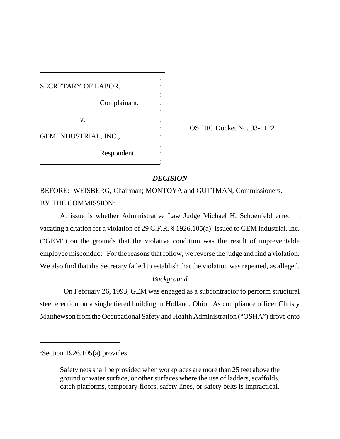| SECRETARY OF LABOR,          |  |
|------------------------------|--|
| Complainant,                 |  |
| v.                           |  |
| <b>GEM INDUSTRIAL, INC.,</b> |  |
| Respondent.                  |  |

: OSHRC Docket No. 93-1122

## *DECISION*

BEFORE: WEISBERG, Chairman; MONTOYA and GUTTMAN, Commissioners. BY THE COMMISSION:

At issue is whether Administrative Law Judge Michael H. Schoenfeld erred in vacating a citation for a violation of 29 C.F.R.  $\S$  1926.105(a)<sup>1</sup> issued to GEM Industrial, Inc. ("GEM") on the grounds that the violative condition was the result of unpreventable employee misconduct. For the reasons that follow, we reverse the judge and find a violation. We also find that the Secretary failed to establish that the violation was repeated, as alleged.

# *Background*

 On February 26, 1993, GEM was engaged as a subcontractor to perform structural steel erection on a single tiered building in Holland, Ohio. As compliance officer Christy Matthewson from the Occupational Safety and Health Administration ("OSHA") drove onto

<sup>&</sup>lt;sup>1</sup>Section 1926.105(a) provides:

Safety nets shall be provided when workplaces are more than 25 feet above the ground or water surface, or other surfaces where the use of ladders, scaffolds, catch platforms, temporary floors, safety lines, or safety belts is impractical.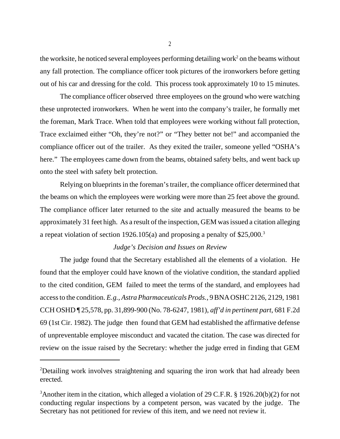the worksite, he noticed several employees performing detailing work<sup>2</sup> on the beams without any fall protection. The compliance officer took pictures of the ironworkers before getting out of his car and dressing for the cold. This process took approximately 10 to 15 minutes.

The compliance officer observed three employees on the ground who were watching these unprotected ironworkers. When he went into the company's trailer, he formally met the foreman, Mark Trace. When told that employees were working without fall protection, Trace exclaimed either "Oh, they're not?" or "They better not be!" and accompanied the compliance officer out of the trailer. As they exited the trailer, someone yelled "OSHA's here." The employees came down from the beams, obtained safety belts, and went back up onto the steel with safety belt protection.

Relying on blueprints in the foreman's trailer, the compliance officer determined that the beams on which the employees were working were more than 25 feet above the ground. The compliance officer later returned to the site and actually measured the beams to be approximately 31 feet high. As a result of the inspection, GEM was issued a citation alleging a repeat violation of section 1926.105(a) and proposing a penalty of \$25,000.3

### *Judge's Decision and Issues on Review*

The judge found that the Secretary established all the elements of a violation. He found that the employer could have known of the violative condition, the standard applied to the cited condition, GEM failed to meet the terms of the standard, and employees had access to the condition. *E.g., Astra Pharmaceuticals Prods.*, 9 BNA OSHC 2126, 2129, 1981 CCH OSHD ¶ 25,578, pp. 31,899-900 (No. 78-6247, 1981), *aff'd in pertinent part*, 681 F.2d 69 (1st Cir. 1982). The judge then found that GEM had established the affirmative defense of unpreventable employee misconduct and vacated the citation. The case was directed for review on the issue raised by the Secretary: whether the judge erred in finding that GEM

<sup>&</sup>lt;sup>2</sup>Detailing work involves straightening and squaring the iron work that had already been erected.

<sup>&</sup>lt;sup>3</sup>Another item in the citation, which alleged a violation of 29 C.F.R. § 1926.20(b)(2) for not conducting regular inspections by a competent person, was vacated by the judge. The Secretary has not petitioned for review of this item, and we need not review it.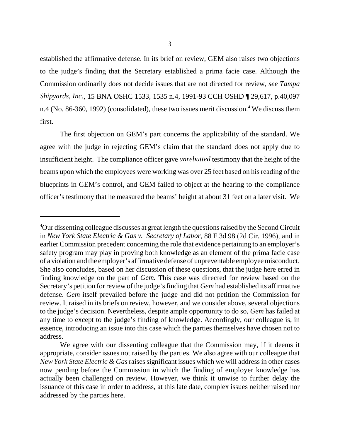established the affirmative defense. In its brief on review, GEM also raises two objections to the judge's finding that the Secretary established a prima facie case. Although the Commission ordinarily does not decide issues that are not directed for review, *see Tampa Shipyards, Inc.*, 15 BNA OSHC 1533, 1535 n.4, 1991-93 CCH OSHD ¶ 29,617, p.40,097 n.4 (No. 86-360, 1992) (consolidated), these two issues merit discussion.<sup>4</sup> We discuss them first.

The first objection on GEM's part concerns the applicability of the standard. We agree with the judge in rejecting GEM's claim that the standard does not apply due to insufficient height. The compliance officer gave *unrebutted* testimony that the height of the beams upon which the employees were working was over 25 feet based on his reading of the blueprints in GEM's control, and GEM failed to object at the hearing to the compliance officer's testimony that he measured the beams' height at about 31 feet on a later visit. We

<sup>&</sup>lt;sup>4</sup>Our dissenting colleague discusses at great length the questions raised by the Second Circuit in *New York State Electric & Gas v. Secretary of Labor*, 88 F.3d 98 (2d Cir. 1996), and in earlier Commission precedent concerning the role that evidence pertaining to an employer's safety program may play in proving both knowledge as an element of the prima facie case of a violation and the employer's affirmative defense of unpreventable employee misconduct. She also concludes, based on her discussion of these questions, that the judge here erred in finding knowledge on the part of *Gem.* This case was directed for review based on the Secretary's petition for review of the judge's finding that *Gem* had established its affirmative defense. *Gem* itself prevailed before the judge and did not petition the Commission for review. It raised in its briefs on review, however, and we consider above, several objections to the judge's decision. Nevertheless, despite ample opportunity to do so, *Gem* has failed at any time to except to the judge's finding of knowledge. Accordingly, our colleague is, in essence, introducing an issue into this case which the parties themselves have chosen not to address.

We agree with our dissenting colleague that the Commission may, if it deems it appropriate, consider issues not raised by the parties. We also agree with our colleague that *New York State Electric & Gas* raises significant issues which we will address in other cases now pending before the Commission in which the finding of employer knowledge has actually been challenged on review. However, we think it unwise to further delay the issuance of this case in order to address, at this late date, complex issues neither raised nor addressed by the parties here.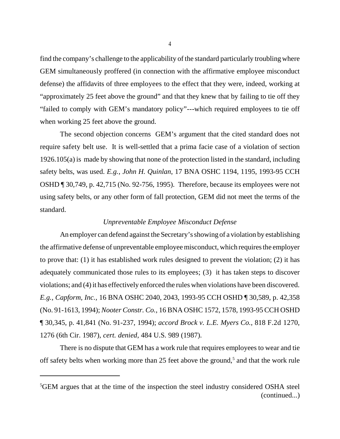find the company's challenge to the applicability of the standard particularly troubling where GEM simultaneously proffered (in connection with the affirmative employee misconduct defense) the affidavits of three employees to the effect that they were, indeed, working at "approximately 25 feet above the ground" and that they knew that by failing to tie off they "failed to comply with GEM's mandatory policy"---which required employees to tie off when working 25 feet above the ground.

The second objection concerns GEM's argument that the cited standard does not require safety belt use. It is well-settled that a prima facie case of a violation of section 1926.105(a) is made by showing that none of the protection listed in the standard, including safety belts, was used. *E.g., John H. Quinlan*, 17 BNA OSHC 1194, 1195, 1993-95 CCH OSHD ¶ 30,749, p. 42,715 (No. 92-756, 1995). Therefore, because its employees were not using safety belts, or any other form of fall protection, GEM did not meet the terms of the standard.

#### *Unpreventable Employee Misconduct Defense*

An employer can defend against the Secretary's showing of a violation by establishing the affirmative defense of unpreventable employee misconduct, which requires the employer to prove that: (1) it has established work rules designed to prevent the violation; (2) it has adequately communicated those rules to its employees; (3) it has taken steps to discover violations; and (4) it has effectively enforced the rules when violations have been discovered. *E.g., Capform, Inc.,* 16 BNA OSHC 2040, 2043, 1993-95 CCH OSHD ¶ 30,589, p. 42,358 (No. 91-1613, 1994); *Nooter Constr. Co.*, 16 BNA OSHC 1572, 1578, 1993-95 CCH OSHD ¶ 30,345, p. 41,841 (No. 91-237, 1994); *accord Brock v. L.E. Myers Co.*, 818 F.2d 1270, 1276 (6th Cir. 1987), *cert. denied*, 484 U.S. 989 (1987).

There is no dispute that GEM has a work rule that requires employees to wear and tie off safety belts when working more than 25 feet above the ground,<sup>5</sup> and that the work rule

<sup>&</sup>lt;sup>5</sup>GEM argues that at the time of the inspection the steel industry considered OSHA steel (continued...)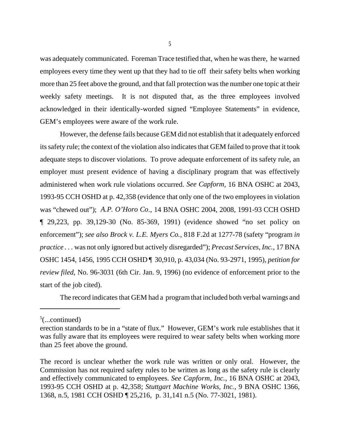was adequately communicated. Foreman Trace testified that, when he was there, he warned employees every time they went up that they had to tie off their safety belts when working more than 25 feet above the ground, and that fall protection was the number one topic at their weekly safety meetings. It is not disputed that, as the three employees involved acknowledged in their identically-worded signed "Employee Statements" in evidence, GEM's employees were aware of the work rule.

However, the defense fails because GEM did not establish that it adequately enforced its safety rule; the context of the violation also indicates that GEM failed to prove that it took adequate steps to discover violations. To prove adequate enforcement of its safety rule, an employer must present evidence of having a disciplinary program that was effectively administered when work rule violations occurred. *See Capform*, 16 BNA OSHC at 2043, 1993-95 CCH OSHD at p. 42,358 (evidence that only one of the two employees in violation was "chewed out"); *A.P. O'Horo Co*., 14 BNA OSHC 2004, 2008, 1991-93 CCH OSHD ¶ 29,223, pp. 39,129-30 (No. 85-369, 1991) (evidence showed "no set policy on enforcement"); *see also Brock v. L.E. Myers Co.*, 818 F.2d at 1277-78 (safety "program *in practice . . .* was not only ignored but actively disregarded"); *Precast Services, Inc.,* 17 BNA OSHC 1454, 1456, 1995 CCH OSHD ¶ 30,910, p. 43,034 (No. 93-2971, 1995), *petition for review filed*, No. 96-3031 (6th Cir. Jan. 9, 1996) (no evidence of enforcement prior to the start of the job cited).

The record indicates that GEM had a program that included both verbal warnings and

 $5$ (...continued)

erection standards to be in a "state of flux." However, GEM's work rule establishes that it was fully aware that its employees were required to wear safety belts when working more than 25 feet above the ground.

The record is unclear whether the work rule was written or only oral. However, the Commission has not required safety rules to be written as long as the safety rule is clearly and effectively communicated to employees. *See Capform, Inc.*, 16 BNA OSHC at 2043, 1993-95 CCH OSHD at p. 42,358; *Stuttgart Machine Works, Inc.*, 9 BNA OSHC 1366, 1368, n.5, 1981 CCH OSHD ¶ 25,216, p. 31,141 n.5 (No. 77-3021, 1981).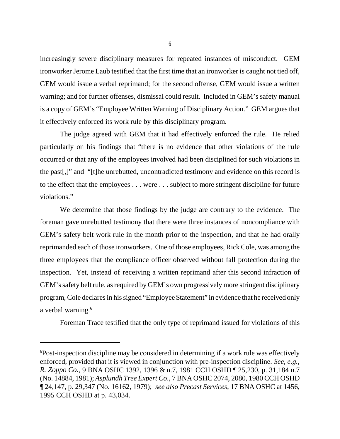increasingly severe disciplinary measures for repeated instances of misconduct. GEM ironworker Jerome Laub testified that the first time that an ironworker is caught not tied off, GEM would issue a verbal reprimand; for the second offense, GEM would issue a written warning; and for further offenses, dismissal could result. Included in GEM's safety manual is a copy of GEM's "Employee Written Warning of Disciplinary Action." GEM argues that it effectively enforced its work rule by this disciplinary program.

The judge agreed with GEM that it had effectively enforced the rule. He relied particularly on his findings that "there is no evidence that other violations of the rule occurred or that any of the employees involved had been disciplined for such violations in the past[,]" and "[t]he unrebutted, uncontradicted testimony and evidence on this record is to the effect that the employees . . . were . . . subject to more stringent discipline for future violations."

We determine that those findings by the judge are contrary to the evidence. The foreman gave unrebutted testimony that there were three instances of noncompliance with GEM's safety belt work rule in the month prior to the inspection, and that he had orally reprimanded each of those ironworkers. One of those employees, Rick Cole, was among the three employees that the compliance officer observed without fall protection during the inspection. Yet, instead of receiving a written reprimand after this second infraction of GEM's safety belt rule, as required by GEM's own progressively more stringent disciplinary program, Cole declares in his signed "Employee Statement" in evidence that he received only a verbal warning.<sup>6</sup>

Foreman Trace testified that the only type of reprimand issued for violations of this

<sup>&</sup>lt;sup>6</sup>Post-inspection discipline may be considered in determining if a work rule was effectively enforced, provided that it is viewed in conjunction with pre-inspection discipline. *See, e.g., R. Zoppo Co.*, 9 BNA OSHC 1392, 1396 & n.7, 1981 CCH OSHD ¶ 25,230, p. 31,184 n.7 (No. 14884, 1981); *Asplundh Tree Expert Co*., 7 BNA OSHC 2074, 2080, 1980 CCH OSHD ¶ 24,147, p. 29,347 (No. 16162, 1979); *see also Precast Services*, 17 BNA OSHC at 1456, 1995 CCH OSHD at p. 43,034.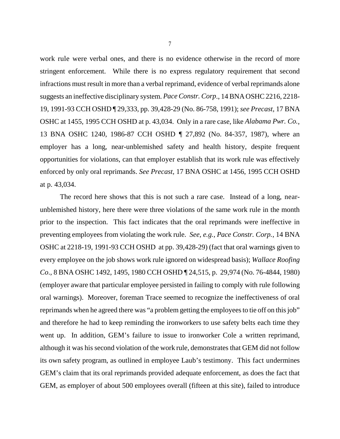work rule were verbal ones, and there is no evidence otherwise in the record of more stringent enforcement. While there is no express regulatory requirement that second infractions must result in more than a verbal reprimand, evidence of verbal reprimands alone suggests an ineffective disciplinary system. *Pace Constr. Corp*., 14 BNA OSHC 2216, 2218- 19, 1991-93 CCH OSHD ¶ 29,333, pp. 39,428-29 (No. 86-758, 1991); *see Precast*, 17 BNA OSHC at 1455, 1995 CCH OSHD at p. 43,034. Only in a rare case, like *Alabama Pwr. Co.*, 13 BNA OSHC 1240, 1986-87 CCH OSHD ¶ 27,892 (No. 84-357, 1987), where an employer has a long, near-unblemished safety and health history, despite frequent opportunities for violations, can that employer establish that its work rule was effectively enforced by only oral reprimands. *See Precast*, 17 BNA OSHC at 1456, 1995 CCH OSHD at p. 43,034.

The record here shows that this is not such a rare case. Instead of a long, nearunblemished history, here there were three violations of the same work rule in the month prior to the inspection. This fact indicates that the oral reprimands were ineffective in preventing employees from violating the work rule. *See, e.g., Pace Constr. Corp.*, 14 BNA OSHC at 2218-19, 1991-93 CCH OSHD at pp. 39,428-29) (fact that oral warnings given to every employee on the job shows work rule ignored on widespread basis); *Wallace Roofing Co*., 8 BNA OSHC 1492, 1495, 1980 CCH OSHD ¶ 24,515, p. 29,974 (No. 76-4844, 1980) (employer aware that particular employee persisted in failing to comply with rule following oral warnings). Moreover, foreman Trace seemed to recognize the ineffectiveness of oral reprimands when he agreed there was "a problem getting the employees to tie off on this job" and therefore he had to keep reminding the ironworkers to use safety belts each time they went up. In addition, GEM's failure to issue to ironworker Cole a written reprimand, although it was his second violation of the work rule, demonstrates that GEM did not follow its own safety program, as outlined in employee Laub's testimony. This fact undermines GEM's claim that its oral reprimands provided adequate enforcement, as does the fact that GEM, as employer of about 500 employees overall (fifteen at this site), failed to introduce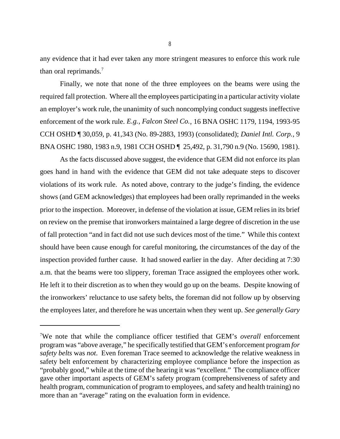any evidence that it had ever taken any more stringent measures to enforce this work rule than oral reprimands.7

Finally, we note that none of the three employees on the beams were using the required fall protection. Where all the employees participating in a particular activity violate an employer's work rule, the unanimity of such noncomplying conduct suggests ineffective enforcement of the work rule. *E.g., Falcon Steel Co.*, 16 BNA OSHC 1179, 1194, 1993-95 CCH OSHD ¶ 30,059, p. 41,343 (No. 89-2883, 1993) (consolidated); *Daniel Intl. Corp.*, 9 BNA OSHC 1980, 1983 n.9, 1981 CCH OSHD ¶ 25,492, p. 31,790 n.9 (No. 15690, 1981).

As the facts discussed above suggest, the evidence that GEM did not enforce its plan goes hand in hand with the evidence that GEM did not take adequate steps to discover violations of its work rule. As noted above, contrary to the judge's finding, the evidence shows (and GEM acknowledges) that employees had been orally reprimanded in the weeks prior to the inspection. Moreover, in defense of the violation at issue, GEM relies in its brief on review on the premise that ironworkers maintained a large degree of discretion in the use of fall protection "and in fact did not use such devices most of the time." While this context should have been cause enough for careful monitoring, the circumstances of the day of the inspection provided further cause. It had snowed earlier in the day. After deciding at 7:30 a.m. that the beams were too slippery, foreman Trace assigned the employees other work. He left it to their discretion as to when they would go up on the beams. Despite knowing of the ironworkers' reluctance to use safety belts, the foreman did not follow up by observing the employees later, and therefore he was uncertain when they went up. *See generally Gary*

<sup>7</sup> We note that while the compliance officer testified that GEM's *overall* enforcement program was "above average," he specifically testified that GEM's enforcement program *for safety belts* was *not*. Even foreman Trace seemed to acknowledge the relative weakness in safety belt enforcement by characterizing employee compliance before the inspection as "probably good," while at the time of the hearing it was "excellent." The compliance officer gave other important aspects of GEM's safety program (comprehensiveness of safety and health program, communication of program to employees, and safety and health training) no more than an "average" rating on the evaluation form in evidence.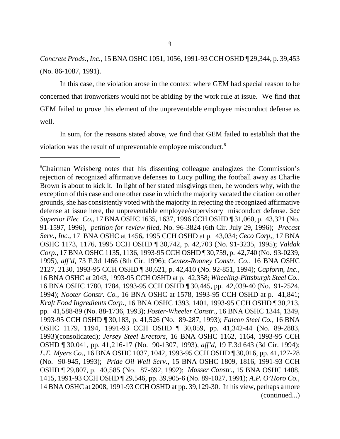*Concrete Prods., Inc.,* 15 BNA OSHC 1051, 1056, 1991-93 CCH OSHD ¶ 29,344, p. 39,453 (No. 86-1087, 1991).

In this case, the violation arose in the context where GEM had special reason to be concerned that ironworkers would not be abiding by the work rule at issue. We find that GEM failed to prove this element of the unpreventable employee misconduct defense as well.

In sum, for the reasons stated above, we find that GEM failed to establish that the violation was the result of unpreventable employee misconduct.<sup>8</sup>

<sup>8</sup> Chairman Weisberg notes that his dissenting colleague analogizes the Commission's rejection of recognized affirmative defenses to Lucy pulling the football away as Charlie Brown is about to kick it. In light of her stated misgivings then, he wonders why, with the exception of this case and one other case in which the majority vacated the citation on other grounds, she has consistently voted with the majority in rejecting the recognized affirmative defense at issue here, the unpreventable employee/supervisory misconduct defense. *See Superior Elec. Co.*, 17 BNA OSHC 1635, 1637, 1996 CCH OSHD ¶ 31,060, p. 43,321 (No. 91-1597, 1996), *petition for review filed*, No. 96-3824 (6th Cir. July 29, 1996); *Precast Serv., Inc.,* 17 BNA OSHC at 1456*,* 1995 CCH OSHD at p. 43,034; *Ceco Corp,*, 17 BNA OSHC 1173, 1176, 1995 CCH OSHD ¶ 30,742, p. 42,703 (No. 91-3235, 1995); *Valdak Corp.*, 17 BNA OSHC 1135, 1136, 1993-95 CCH OSHD ¶ 30,759, p. 42,740 (No. 93-0239, 1995), *aff'd,* 73 F.3d 1466 (8th Cir. 1996); *Centex-Rooney Constr. Co.,* 16 BNA OSHC 2127, 2130, 1993-95 CCH OSHD ¶ 30,621, p. 42,410 (No. 92-851, 1994); *Capform, Inc.,* 16 BNA OSHC at 2043, 1993-95 CCH OSHD at p. 42,358; *Wheeling-Pittsburgh Steel Co.*, 16 BNA OSHC 1780, 1784, 1993-95 CCH OSHD ¶ 30,445, pp. 42,039-40 (No. 91-2524, 1994); *Nooter Constr. Co.*, 16 BNA OSHC at 1578, 1993-95 CCH OSHD at p. 41,841; *Kraft Food Ingredients Corp.*, 16 BNA OSHC 1393, 1401, 1993-95 CCH OSHD ¶ 30,213, pp. 41,588-89 (No. 88-1736, 1993); *Foster-Wheeler Constr.,* 16 BNA OSHC 1344, 1349, 1993-95 CCH OSHD ¶ 30,183, p. 41,526 (No. 89-287, 1993); *Falcon Steel Co.,* 16 BNA OSHC 1179, 1194, 1991-93 CCH OSHD ¶ 30,059, pp. 41,342-44 (No. 89-2883, 1993)(consolidated); *Jersey Steel Erectors,* 16 BNA OSHC 1162, 1164, 1993-95 CCH OSHD ¶ 30,041, pp. 41,216-17 (No. 90-1307, 1993), *aff'd,* 19 F.3d 643 (3d Cir. 1994); *L.E. Myers Co.,* 16 BNA OSHC 1037, 1042, 1993-95 CCH OSHD ¶ 30,016, pp. 41,127-28 (No. 90-945, 1993); *Pride Oil Well Serv.,* 15 BNA OSHC 1809, 1816, 1991-93 CCH OSHD ¶ 29,807, p. 40,585 (No. 87-692, 1992); *Mosser Constr.,* 15 BNA OSHC 1408, 1415*,* 1991*-*93 CCH OSHD ¶ 29,546, pp. 39,905-6 (No. 89-1027, 1991); *A.P. O'Horo Co.*, 14 BNA OSHC at 2008, 1991-93 CCH OSHD at pp. 39,129-30. In his view, perhaps a more (continued...)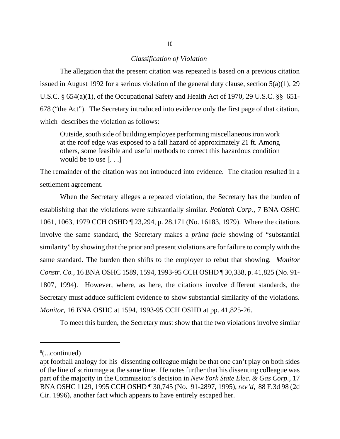### *Classification of Violation*

The allegation that the present citation was repeated is based on a previous citation issued in August 1992 for a serious violation of the general duty clause, section 5(a)(1), 29 U.S.C. § 654(a)(1), of the Occupational Safety and Health Act of 1970, 29 U.S.C. §§ 651- 678 ("the Act"). The Secretary introduced into evidence only the first page of that citation, which describes the violation as follows:

Outside, south side of building employee performing miscellaneous iron work at the roof edge was exposed to a fall hazard of approximately 21 ft. Among others, some feasible and useful methods to correct this hazardous condition would be to use [. . .]

The remainder of the citation was not introduced into evidence. The citation resulted in a settlement agreement.

When the Secretary alleges a repeated violation, the Secretary has the burden of establishing that the violations were substantially similar. *Potlatch Corp.*, 7 BNA OSHC 1061, 1063, 1979 CCH OSHD ¶ 23,294, p. 28,171 (No. 16183, 1979). Where the citations involve the same standard, the Secretary makes a *prima facie* showing of "substantial similarity" by showing that the prior and present violations are for failure to comply with the same standard. The burden then shifts to the employer to rebut that showing. *Monitor Constr. Co.*, 16 BNA OSHC 1589, 1594, 1993-95 CCH OSHD ¶ 30,338, p. 41,825 (No. 91- 1807, 1994). However, where, as here, the citations involve different standards, the Secretary must adduce sufficient evidence to show substantial similarity of the violations. *Monitor*, 16 BNA OSHC at 1594, 1993-95 CCH OSHD at pp. 41,825-26.

To meet this burden, the Secretary must show that the two violations involve similar

<sup>8</sup> (...continued)

apt football analogy for his dissenting colleague might be that one can't play on both sides of the line of scrimmage at the same time. He notes further that his dissenting colleague was part of the majority in the Commission's decision in *New York State Elec. & Gas Corp.,* 17 BNA OSHC 1129, 1995 CCH OSHD ¶ 30,745 (No. 91-2897, 1995), *rev'd,* 88 F.3d 98 (2d Cir. 1996), another fact which appears to have entirely escaped her.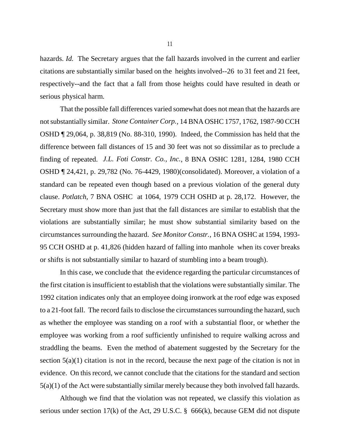hazards. *Id.* The Secretary argues that the fall hazards involved in the current and earlier citations are substantially similar based on the heights involved--26 to 31 feet and 21 feet, respectively--and the fact that a fall from those heights could have resulted in death or serious physical harm.

That the possible fall differences varied somewhat does not mean that the hazards are not substantially similar. *Stone Container Corp.*, 14 BNA OSHC 1757, 1762, 1987-90 CCH OSHD ¶ 29,064, p. 38,819 (No. 88-310, 1990). Indeed, the Commission has held that the difference between fall distances of 15 and 30 feet was not so dissimilar as to preclude a finding of repeated. *J.L. Foti Constr. Co., Inc.*, 8 BNA OSHC 1281, 1284, 1980 CCH OSHD ¶ 24,421, p. 29,782 (No. 76-4429, 1980)(consolidated). Moreover, a violation of a standard can be repeated even though based on a previous violation of the general duty clause. *Potlatch,* 7 BNA OSHC at 1064, 1979 CCH OSHD at p. 28,172. However, the Secretary must show more than just that the fall distances are similar to establish that the violations are substantially similar; he must show substantial similarity based on the circumstances surrounding the hazard. *See Monitor Constr.,* 16 BNA OSHC at 1594, 1993- 95 CCH OSHD at p. 41,826 (hidden hazard of falling into manhole when its cover breaks or shifts is not substantially similar to hazard of stumbling into a beam trough).

In this case, we conclude that the evidence regarding the particular circumstances of the first citation is insufficient to establish that the violations were substantially similar. The 1992 citation indicates only that an employee doing ironwork at the roof edge was exposed to a 21-foot fall. The record fails to disclose the circumstances surrounding the hazard, such as whether the employee was standing on a roof with a substantial floor, or whether the employee was working from a roof sufficiently unfinished to require walking across and straddling the beams. Even the method of abatement suggested by the Secretary for the section  $5(a)(1)$  citation is not in the record, because the next page of the citation is not in evidence. On this record, we cannot conclude that the citations for the standard and section 5(a)(1) of the Act were substantially similar merely because they both involved fall hazards.

Although we find that the violation was not repeated, we classify this violation as serious under section 17(k) of the Act, 29 U.S.C.  $\S$  666(k), because GEM did not dispute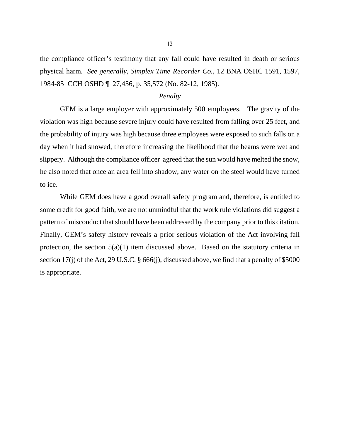the compliance officer's testimony that any fall could have resulted in death or serious physical harm. *See generally, Simplex Time Recorder Co.*, 12 BNA OSHC 1591, 1597, 1984-85 CCH OSHD ¶ 27,456, p. 35,572 (No. 82-12, 1985).

### *Penalty*

GEM is a large employer with approximately 500 employees. The gravity of the violation was high because severe injury could have resulted from falling over 25 feet, and the probability of injury was high because three employees were exposed to such falls on a day when it had snowed, therefore increasing the likelihood that the beams were wet and slippery. Although the compliance officer agreed that the sun would have melted the snow, he also noted that once an area fell into shadow, any water on the steel would have turned to ice.

While GEM does have a good overall safety program and, therefore, is entitled to some credit for good faith, we are not unmindful that the work rule violations did suggest a pattern of misconduct that should have been addressed by the company prior to this citation. Finally, GEM's safety history reveals a prior serious violation of the Act involving fall protection, the section  $5(a)(1)$  item discussed above. Based on the statutory criteria in section 17(j) of the Act, 29 U.S.C. § 666(j), discussed above, we find that a penalty of \$5000 is appropriate.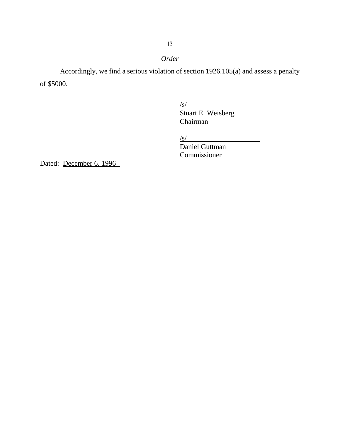# *Order*

Accordingly, we find a serious violation of section 1926.105(a) and assess a penalty of \$5000.

/s/

Stuart E. Weisberg Chairman

 $\sqrt{s/2}$ 

Daniel Guttman Commissioner

Dated: December 6, 1996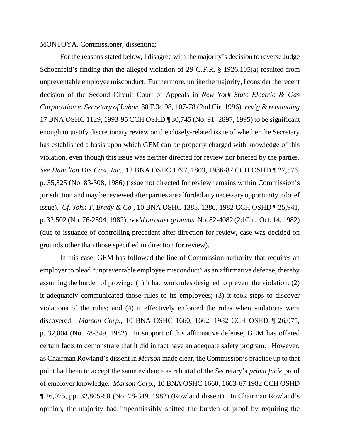### MONTOYA, Commissioner, dissenting:

For the reasons stated below, I disagree with the majority's decision to reverse Judge Schoenfeld's finding that the alleged violation of 29 C.F.R. § 1926.105(a) resulted from unpreventable employee misconduct. Furthermore, unlike the majority, I consider the recent decision of the Second Circuit Court of Appeals in *New York State Electric & Gas Corporation v. Secretary of Labor,* 88 F.3d 98, 107-78 (2nd Cir. 1996), *rev'g & remanding* 17 BNA OSHC 1129, 1993-95 CCH OSHD ¶ 30,745 (No. 91- 2897, 1995) to be significant enough to justify discretionary review on the closely-related issue of whether the Secretary has established a basis upon which GEM can be properly charged with knowledge of this violation, even though this issue was neither directed for review nor briefed by the parties. *See Hamilton Die Cast, Inc.*, 12 BNA OSHC 1797, 1803, 1986-87 CCH OSHD ¶ 27,576, p. 35,825 (No. 83-308, 1986) (issue not directed for review remains within Commission's jurisdiction and may be reviewed after parties are afforded any necessary opportunity to brief issue). *Cf. John T. Brady & Co.*, 10 BNA OSHC 1385, 1386, 1982 CCH OSHD ¶ 25,941, p. 32,502 (No. 76-2894, 1982), *rev'd on other grounds*, No. 82-4082 (2d Cir., Oct. 14, 1982) (due to issuance of controlling precedent after direction for review, case was decided on grounds other than those specified in direction for review).

In this case, GEM has followed the line of Commission authority that requires an employer to plead "unpreventable employee misconduct" as an affirmative defense, thereby assuming the burden of proving: (1) it had workrules designed to prevent the violation; (2) it adequately communicated those rules to its employees; (3) it took steps to discover violations of the rules; and (4) it effectively enforced the rules when violations were discovered. *Marson Corp.,* 10 BNA OSHC 1660, 1662, 1982 CCH OSHD ¶ 26,075, p. 32,804 (No. 78-349, 1982). In support of this affirmative defense, GEM has offered certain facts to demonstrate that it did in fact have an adequate safety program. However, as Chairman Rowland's dissent in *Marson* made clear, the Commission's practice up to that point had been to accept the same evidence as rebuttal of the Secretary's *prima facie* proof of employer knowledge. *Marson Corp.*, 10 BNA OSHC 1660, 1663-67 1982 CCH OSHD ¶ 26,075, pp. 32,805-58 (No. 78-349, 1982) (Rowland dissent). In Chairman Rowland's opinion, the majority had impermissibly shifted the burden of proof by requiring the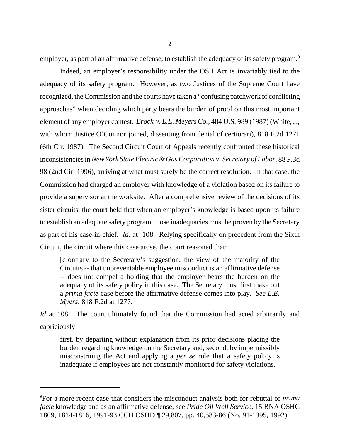employer, as part of an affirmative defense, to establish the adequacy of its safety program.<sup>9</sup>

Indeed, an employer's responsibility under the OSH Act is invariably tied to the adequacy of its safety program. However, as two Justices of the Supreme Court have recognized, the Commission and the courts have taken a "confusing patchwork of conflicting approaches" when deciding which party bears the burden of proof on this most important element of any employer contest. *Brock v. L.E. Meyers Co.,* 484 U.S. 989 (1987) (White, J., with whom Justice O'Connor joined, dissenting from denial of certiorari), 818 F.2d 1271 (6th Cir. 1987). The Second Circuit Court of Appeals recently confronted these historical inconsistencies in *New York State Electric & Gas Corporation v. Secretary of Labor,* 88 F.3d 98 (2nd Cir. 1996), arriving at what must surely be the correct resolution. In that case, the Commission had charged an employer with knowledge of a violation based on its failure to provide a supervisor at the worksite. After a comprehensive review of the decisions of its sister circuits, the court held that when an employer's knowledge is based upon its failure to establish an adequate safety program, those inadequacies must be proven by the Secretary as part of his case-in-chief. *Id*. at 108. Relying specifically on precedent from the Sixth Circuit, the circuit where this case arose, the court reasoned that:

[c]ontrary to the Secretary's suggestion, the view of the majority of the Circuits -- that unpreventable employee misconduct is an affirmative defense -- does not compel a holding that the employer bears the burden on the adequacy of its safety policy in this case. The Secretary must first make out a *prima facie* case before the affirmative defense comes into play. *See L.E. Myers*, 818 F.2d at 1277.

*Id* at 108. The court ultimately found that the Commission had acted arbitrarily and capriciously:

first, by departing without explanation from its prior decisions placing the burden regarding knowledge on the Secretary and, second, by impermissibly misconstruing the Act and applying a *per se* rule that a safety policy is inadequate if employees are not constantly monitored for safety violations.

<sup>9</sup> For a more recent case that considers the misconduct analysis both for rebuttal of *prima facie* knowledge and as an affirmative defense, see *Pride Oil Well Service*, 15 BNA OSHC 1809, 1814-1816, 1991-93 CCH OSHD ¶ 29,807, pp. 40,583-86 (No. 91-1395, 1992)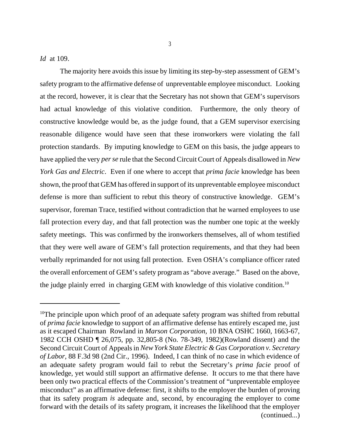*Id* at 109.

The majority here avoids this issue by limiting its step-by-step assessment of GEM's safety program to the affirmative defense of unpreventable employee misconduct. Looking at the record, however, it is clear that the Secretary has not shown that GEM's supervisors had actual knowledge of this violative condition. Furthermore, the only theory of constructive knowledge would be, as the judge found, that a GEM supervisor exercising reasonable diligence would have seen that these ironworkers were violating the fall protection standards. By imputing knowledge to GEM on this basis, the judge appears to have applied the very *per se* rule that the Second Circuit Court of Appeals disallowed in *New York Gas and Electric*. Even if one where to accept that *prima facie* knowledge has been shown, the proof that GEM has offered in support of its unpreventable employee misconduct defense is more than sufficient to rebut this theory of constructive knowledge. GEM's supervisor, foreman Trace, testified without contradiction that he warned employees to use fall protection every day, and that fall protection was the number one topic at the weekly safety meetings. This was confirmed by the ironworkers themselves, all of whom testified that they were well aware of GEM's fall protection requirements, and that they had been verbally reprimanded for not using fall protection. Even OSHA's compliance officer rated the overall enforcement of GEM's safety program as "above average." Based on the above, the judge plainly erred in charging GEM with knowledge of this violative condition.<sup>10</sup>

<sup>&</sup>lt;sup>10</sup>The principle upon which proof of an adequate safety program was shifted from rebuttal of *prima facie* knowledge to support of an affirmative defense has entirely escaped me, just as it escaped Chairman Rowland in *Marson Corporation,* 10 BNA OSHC 1660, 1663-67, 1982 CCH OSHD ¶ 26,075, pp. 32,805-8 (No. 78-349, 1982)(Rowland dissent) and the Second Circuit Court of Appeals in *New York State Electric & Gas Corporation v. Secretary of Labor,* 88 F.3d 98 (2nd Cir., 1996). Indeed, I can think of no case in which evidence of an adequate safety program would fail to rebut the Secretary's *prima facie* proof of knowledge, yet would still support an affirmative defense. It occurs to me that there have been only two practical effects of the Commission's treatment of "unpreventable employee misconduct" as an affirmative defense: first, it shifts to the employer the burden of proving that its safety program *is* adequate and, second, by encouraging the employer to come forward with the details of its safety program, it increases the likelihood that the employer (continued...)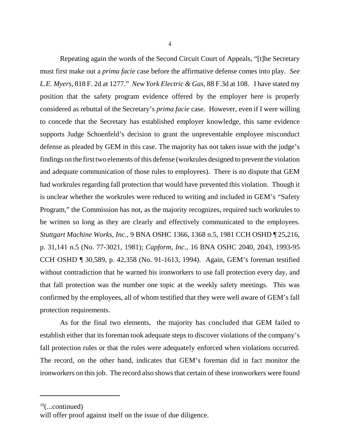Repeating again the words of the Second Circuit Court of Appeals, "[t]he Secretary must first make out a *prima facie* case before the affirmative defense comes into play. *See L.E. Myers*, 818 F. 2d at 1277." *New York Electric & Gas*, 88 F.3d at 108. I have stated my position that the safety program evidence offered by the employer here is properly considered as rebuttal of the Secretary's *prima facie* case. However, even if I were willing to concede that the Secretary has established employer knowledge, this same evidence supports Judge Schoenfeld's decision to grant the unpreventable employee misconduct defense as pleaded by GEM in this case. The majority has not taken issue with the judge's findings on the first two elements of this defense (workrules designed to prevent the violation and adequate communication of those rules to employees). There is no dispute that GEM had workrules regarding fall protection that would have prevented this violation. Though it is unclear whether the workrules were reduced to writing and included in GEM's "Safety Program," the Commission has not, as the majority recognizes, required such workrules to be written so long as they are clearly and effectively communicated to the employees. *Stuttgart Machine Works, Inc.*, 9 BNA OSHC 1366, 1368 n.5, 1981 CCH OSHD ¶ 25,216, p. 31,141 n.5 (No. 77-3021, 1981); *Capform, Inc*., 16 BNA OSHC 2040, 2043, 1993-95 CCH OSHD ¶ 30,589, p. 42,358 (No. 91-1613, 1994). Again, GEM's foreman testified without contradiction that he warned his ironworkers to use fall protection every day, and that fall protection was the number one topic at the weekly safety meetings. This was confirmed by the employees, all of whom testified that they were well aware of GEM's fall protection requirements.

As for the final two elements, the majority has concluded that GEM failed to establish either that its foreman took adequate steps to discover violations of the company's fall protection rules or that the rules were adequately enforced when violations occurred. The record, on the other hand, indicates that GEM's foreman did in fact monitor the ironworkers on this job. The record also shows that certain of these ironworkers were found

 $10$ (...continued)

will offer proof against itself on the issue of due diligence.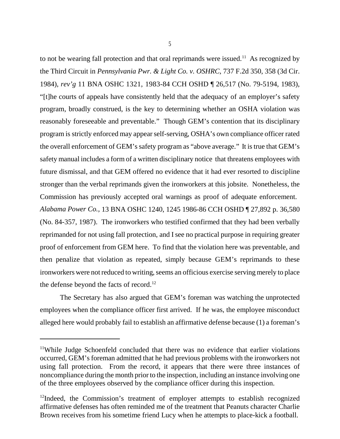to not be wearing fall protection and that oral reprimands were issued.<sup>11</sup> As recognized by the Third Circuit in *Pennsylvania Pwr. & Light Co. v. OSHRC*, 737 F.2d 350, 358 (3d Cir. 1984), *rev'g* 11 BNA OSHC 1321, 1983-84 CCH OSHD ¶ 26,517 (No. 79-5194, 1983), "[t]he courts of appeals have consistently held that the adequacy of an employer's safety program, broadly construed, is the key to determining whether an OSHA violation was reasonably foreseeable and preventable." Though GEM's contention that its disciplinary program is strictly enforced may appear self-serving, OSHA's own compliance officer rated the overall enforcement of GEM's safety program as "above average." It is true that GEM's safety manual includes a form of a written disciplinary notice that threatens employees with future dismissal, and that GEM offered no evidence that it had ever resorted to discipline stronger than the verbal reprimands given the ironworkers at this jobsite. Nonetheless, the Commission has previously accepted oral warnings as proof of adequate enforcement. *Alabama Power Co.,* 13 BNA OSHC 1240, 1245 1986-86 CCH OSHD ¶ 27,892 p. 36,580 (No. 84-357, 1987). The ironworkers who testified confirmed that they had been verbally reprimanded for not using fall protection, and I see no practical purpose in requiring greater proof of enforcement from GEM here. To find that the violation here was preventable, and then penalize that violation as repeated, simply because GEM's reprimands to these ironworkers were not reduced to writing, seems an officious exercise serving merely to place the defense beyond the facts of record.<sup>12</sup>

 The Secretary has also argued that GEM's foreman was watching the unprotected employees when the compliance officer first arrived. If he was, the employee misconduct alleged here would probably fail to establish an affirmative defense because (1) a foreman's

<sup>&</sup>lt;sup>11</sup>While Judge Schoenfeld concluded that there was no evidence that earlier violations occurred, GEM's foreman admitted that he had previous problems with the ironworkers not using fall protection. From the record, it appears that there were three instances of noncompliance during the month prior to the inspection, including an instance involving one of the three employees observed by the compliance officer during this inspection.

 $12$ Indeed, the Commission's treatment of employer attempts to establish recognized affirmative defenses has often reminded me of the treatment that Peanuts character Charlie Brown receives from his sometime friend Lucy when he attempts to place-kick a football.